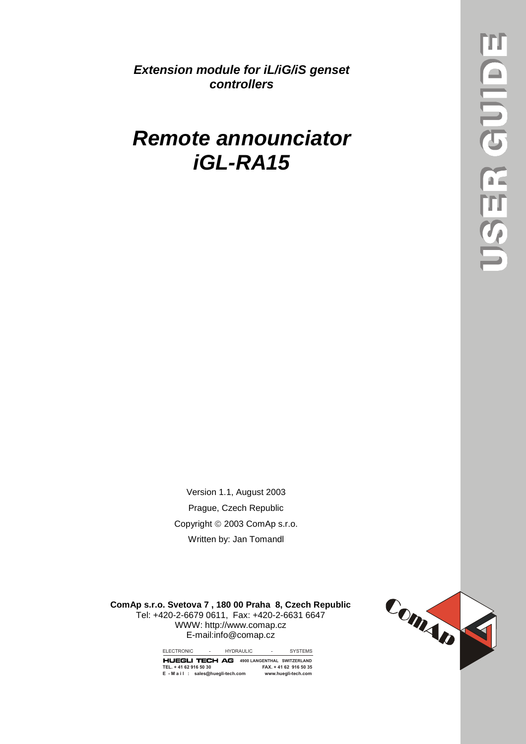*Extension module for iL/iG/iS genset controllers* 

## *Remote announciator iGL-RA15*

Version 1.1, August 2003 Prague, Czech Republic Copyright © 2003 ComAp s.r.o. Written by: Jan Tomandl

**ComAp s.r.o. Svetova 7 , 180 00 Praha 8, Czech Republic** Tel: +420-2-6679 0611, Fax: +420-2-6631 6647 WWW: http://www.comap.cz E-mail:info@comap.cz



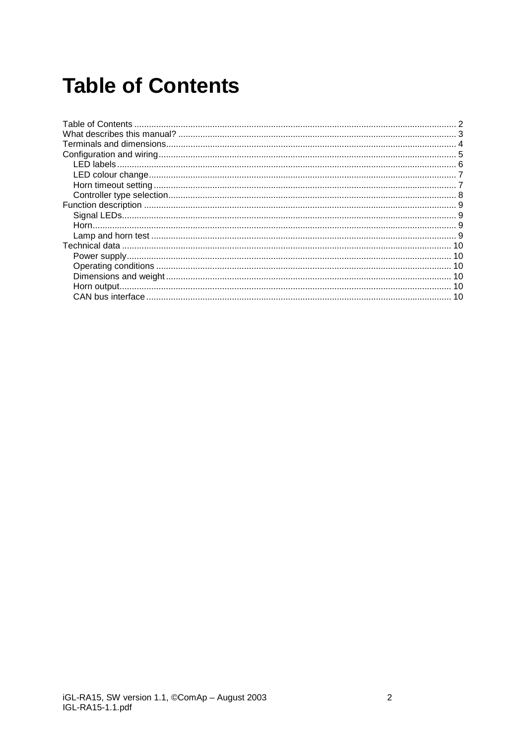## **Table of Contents**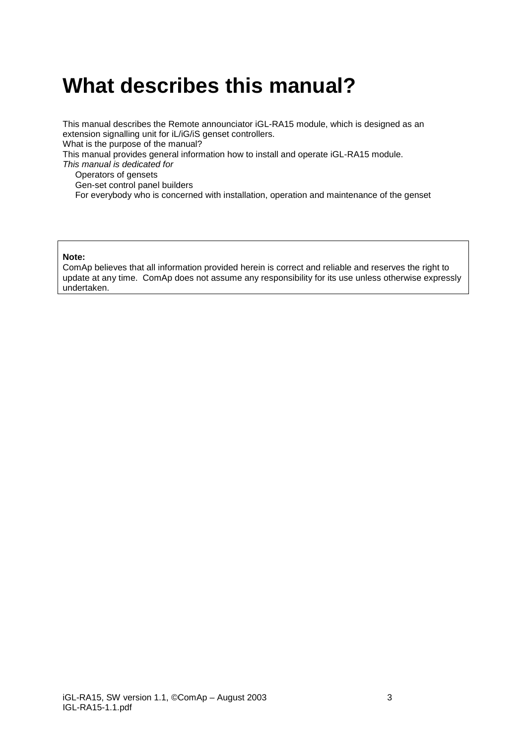## <span id="page-2-0"></span>**What describes this manual?**

This manual describes the Remote announciator iGL-RA15 module, which is designed as an extension signalling unit for iL/iG/iS genset controllers.

What is the purpose of the manual?

This manual provides general information how to install and operate iGL-RA15 module.

*This manual is dedicated for* 

Operators of gensets

Gen-set control panel builders

For everybody who is concerned with installation, operation and maintenance of the genset

#### **Note:**

ComAp believes that all information provided herein is correct and reliable and reserves the right to update at any time. ComAp does not assume any responsibility for its use unless otherwise expressly undertaken.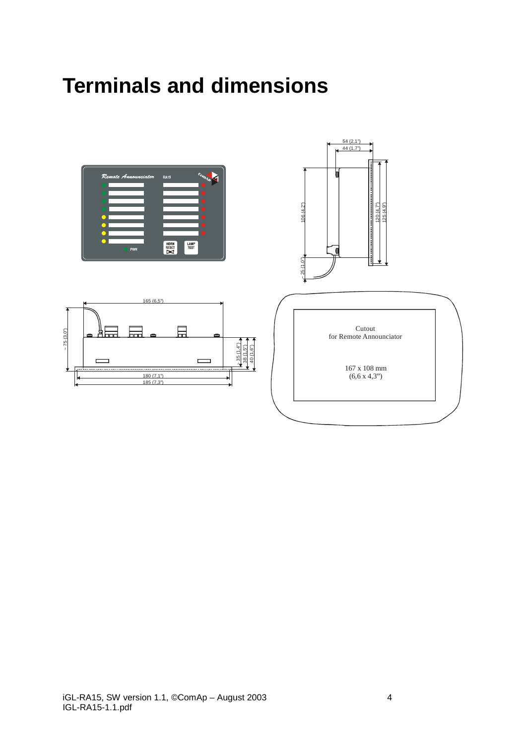## <span id="page-3-0"></span>**Terminals and dimensions**

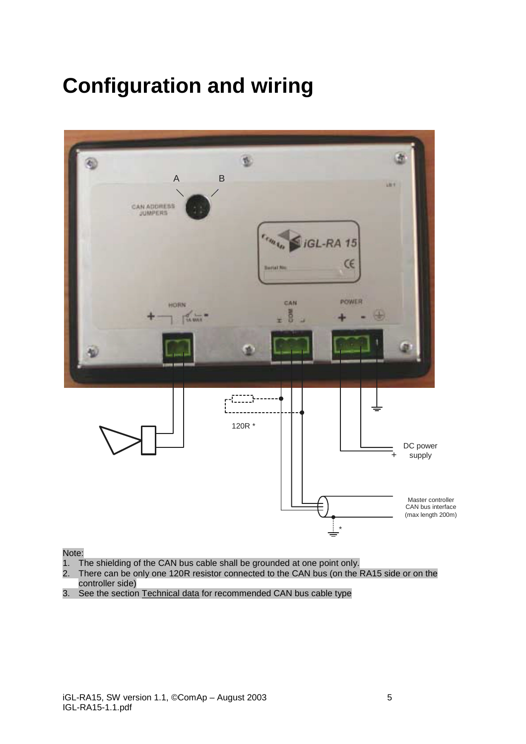# <span id="page-4-0"></span>**Configuration and wiring**



#### Note:

- 1. The shielding of the CAN bus cable shall be grounded at one point only.
- 2. There can be only one 120R resistor connected to the CAN bus (on the RA15 side or on the controller side)
- 3. See the section Technical data for recommended CAN bus cable type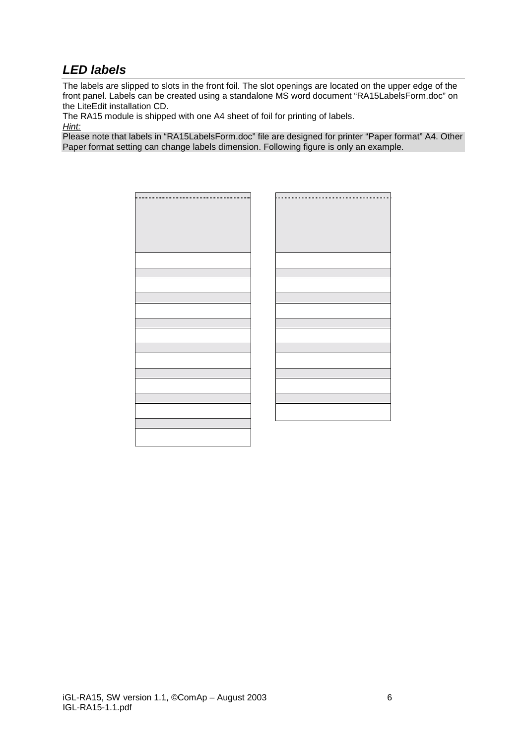### <span id="page-5-0"></span>*LED labels*

The labels are slipped to slots in the front foil. The slot openings are located on the upper edge of the front panel. Labels can be created using a standalone MS word document "RA15LabelsForm.doc" on the LiteEdit installation CD.

The RA15 module is shipped with one A4 sheet of foil for printing of labels.

*Hint:*

Please note that labels in "RA15LabelsForm.doc" file are designed for printer "Paper format" A4. Other Paper format setting can change labels dimension. Following figure is only an example.

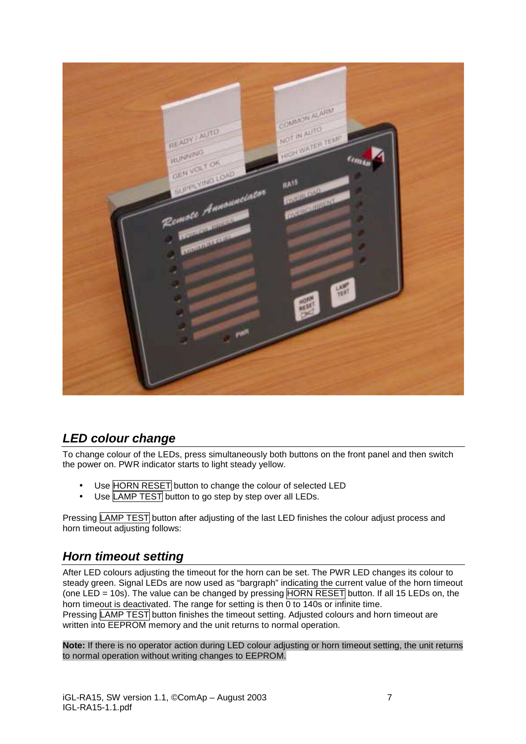<span id="page-6-0"></span>

### *LED colour change*

To change colour of the LEDs, press simultaneously both buttons on the front panel and then switch the power on. PWR indicator starts to light steady yellow.

- Use HORN RESET button to change the colour of selected LED
- Use LAMP TEST button to go step by step over all LEDs.

Pressing LAMP TEST button after adjusting of the last LED finishes the colour adjust process and horn timeout adjusting follows:

#### *Horn timeout setting*

After LED colours adjusting the timeout for the horn can be set. The PWR LED changes its colour to steady green. Signal LEDs are now used as "bargraph" indicating the current value of the horn timeout (one LED = 10s). The value can be changed by pressing  $HORN RESET$  button. If all 15 LEDs on, the horn timeout is deactivated. The range for setting is then 0 to 140s or infinite time. Pressing **LAMP TEST** button finishes the timeout setting. Adjusted colours and horn timeout are written into **EEPROM** memory and the unit returns to normal operation.

**Note:** If there is no operator action during LED colour adjusting or horn timeout setting, the unit returns to normal operation without writing changes to EEPROM.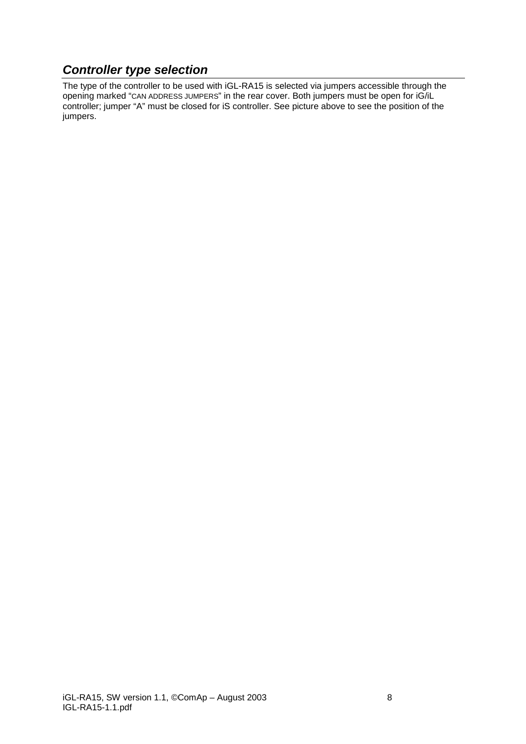### <span id="page-7-0"></span>*Controller type selection*

The type of the controller to be used with iGL-RA15 is selected via jumpers accessible through the opening marked "CAN ADDRESS JUMPERS" in the rear cover. Both jumpers must be open for iG/iL controller; jumper "A" must be closed for iS controller. See picture above to see the position of the jumpers.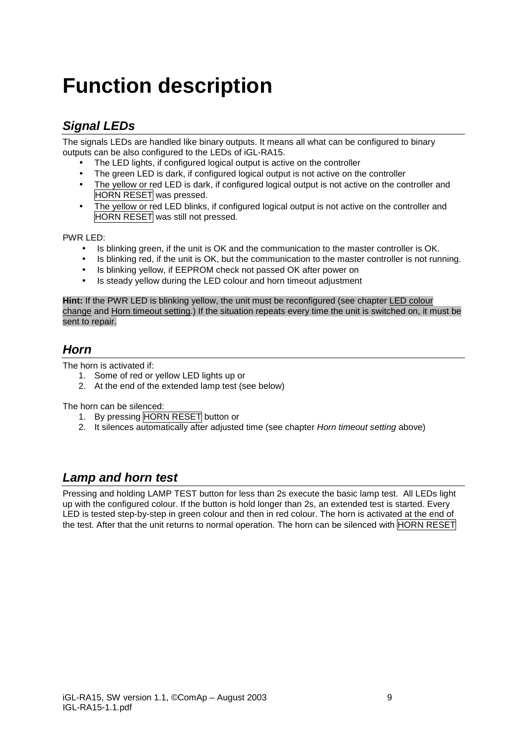# <span id="page-8-0"></span>**Function description**

### *Signal LEDs*

The signals LEDs are handled like binary outputs. It means all what can be configured to binary outputs can be also configured to the LEDs of iGL-RA15.

- The LED lights, if configured logical output is active on the controller
- The green LED is dark, if configured logical output is not active on the controller
- The yellow or red LED is dark, if configured logical output is not active on the controller and HORN RESET was pressed.
- The yellow or red LED blinks, if configured logical output is not active on the controller and HORN RESET was still not pressed.

PWR LED:

- Is blinking green, if the unit is OK and the communication to the master controller is OK.
- Is blinking red, if the unit is OK, but the communication to the master controller is not running.
- Is blinking yellow, if EEPROM check not passed OK after power on
- Is steady vellow during the LED colour and horn timeout adjustment

**Hint:** If the PWR LED is blinking yellow, the unit must be reconfigured (see chapter LED colour change and Horn timeout setting.) If the situation repeats every time the unit is switched on, it must be sent to repair.

#### *Horn*

The horn is activated if:

- 1. Some of red or yellow LED lights up or
- 2. At the end of the extended lamp test (see below)

The horn can be silenced:

- 1. By pressing HORN RESET button or
- 2. It silences automatically after adjusted time (see chapter *Horn timeout setting* above)

### *Lamp and horn test*

Pressing and holding LAMP TEST button for less than 2s execute the basic lamp test. All LEDs light up with the configured colour. If the button is hold longer than 2s, an extended test is started. Every LED is tested step-by-step in green colour and then in red colour. The horn is activated at the end of the test. After that the unit returns to normal operation. The horn can be silenced with HORN RESET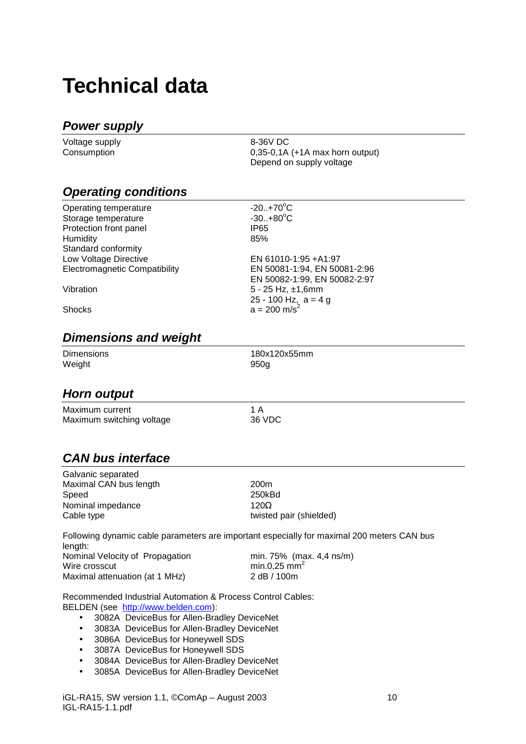## <span id="page-9-0"></span>**Technical data**

### *Power supply*

| Voltage supply | 8-36V DC                          |
|----------------|-----------------------------------|
| Consumption    | $0,35-0,1A$ (+1A max horn output) |
|                | Depend on supply voltage          |

#### *Operating conditions*

| Operating temperature                | $-20.+70^{\circ}C$                                   |
|--------------------------------------|------------------------------------------------------|
| Storage temperature                  | $-30. +80^{\circ}C$                                  |
| Protection front panel               | IP65                                                 |
| Humidity                             | 85%                                                  |
| Standard conformity                  |                                                      |
| Low Voltage Directive                | EN 61010-1:95 + A1:97                                |
| <b>Electromagnetic Compatibility</b> | EN 50081-1:94, EN 50081-2:96                         |
|                                      | EN 50082-1:99, EN 50082-2:97                         |
| Vibration                            | $5 - 25$ Hz, $\pm 1,6$ mm                            |
|                                      | 25 - 100 Hz, $a = 4 g$<br>$a = 200$ m/s <sup>2</sup> |
| <b>Shocks</b>                        |                                                      |
|                                      |                                                      |

#### *Dimensions and weight*

| <b>Dimensions</b> | 180x120x55mm |
|-------------------|--------------|
| Weight            | 950q         |

#### *Horn output*

| Maximum current           |           |
|---------------------------|-----------|
| Maximum switching voltage | $36 \mid$ |

36 VDC

### *CAN bus interface*

Galvanic separated Maximal CAN bus length 200m Speed 250kBd Nominal impedance 120 $\Omega$ 

Cable type twisted pair (shielded)

Following dynamic cable parameters are important especially for maximal 200 meters CAN bus length: Nominal Velocity of Propagation min. 75% (max. 4,4 ns/m) Wire crosscut min.0,25 mm<sup>2</sup> Maximal attenuation (at 1 MHz) 2 dB / 100m

Recommended Industrial Automation & Process Control Cables: BELDEN (see [http://www.belden.com\):](http://www.belden.com/) 

- 3082A DeviceBus for Allen-Bradley DeviceNet
- 3083A DeviceBus for Allen-Bradley DeviceNet
- 3086A DeviceBus for Honeywell SDS
- 3087A DeviceBus for Honeywell SDS
- 3084A DeviceBus for Allen-Bradley DeviceNet
- 3085A DeviceBus for Allen-Bradley DeviceNet